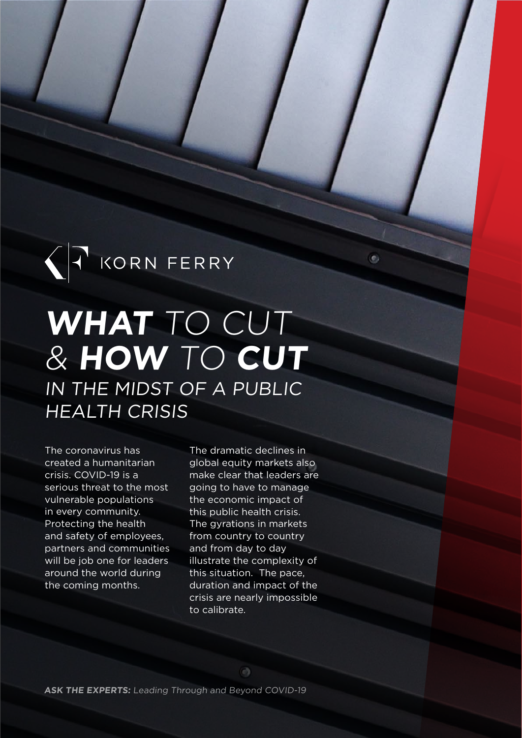

# **WHAT** TO CUT & **HOW** TO **CUT** IN THE MIDST OF A PUBLIC HEALTH CRISIS

The coronavirus has created a humanitarian crisis. COVID-19 is a serious threat to the most vulnerable populations in every community. Protecting the health and safety of employees, partners and communities will be job one for leaders around the world during the coming months.

The dramatic declines in global equity markets also make clear that leaders are going to have to manage the economic impact of this public health crisis. The gyrations in markets from country to country and from day to day illustrate the complexity of this situation. The pace, duration and impact of the crisis are nearly impossible to calibrate.

a

**ASK THE EXPERTS:** Leading Through and Beyond COVID-19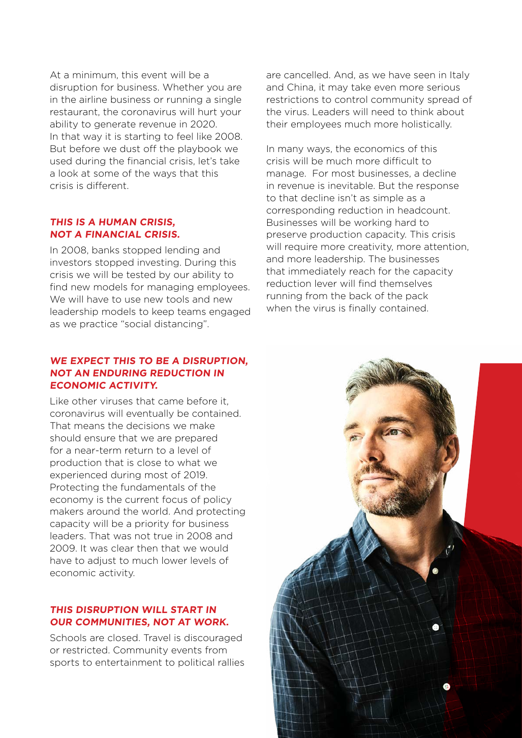At a minimum, this event will be a disruption for business. Whether you are in the airline business or running a single restaurant, the coronavirus will hurt your ability to generate revenue in 2020. In that way it is starting to feel like 2008. But before we dust off the playbook we used during the financial crisis, let's take a look at some of the ways that this crisis is different.

#### **THIS IS A HUMAN CRISIS, NOT A FINANCIAL CRISIS.**

In 2008, banks stopped lending and investors stopped investing. During this crisis we will be tested by our ability to find new models for managing employees. We will have to use new tools and new leadership models to keep teams engaged as we practice "social distancing".

#### **WE EXPECT THIS TO BE A DISRUPTION, NOT AN ENDURING REDUCTION IN ECONOMIC ACTIVITY.**

Like other viruses that came before it, coronavirus will eventually be contained. That means the decisions we make should ensure that we are prepared for a near-term return to a level of production that is close to what we experienced during most of 2019. Protecting the fundamentals of the economy is the current focus of policy makers around the world. And protecting capacity will be a priority for business leaders. That was not true in 2008 and 2009. It was clear then that we would have to adjust to much lower levels of economic activity.

#### **THIS DISRUPTION WILL START IN OUR COMMUNITIES, NOT AT WORK.**

Schools are closed. Travel is discouraged or restricted. Community events from sports to entertainment to political rallies are cancelled. And, as we have seen in Italy and China, it may take even more serious restrictions to control community spread of the virus. Leaders will need to think about their employees much more holistically.

In many ways, the economics of this crisis will be much more difficult to manage. For most businesses, a decline in revenue is inevitable. But the response to that decline isn't as simple as a corresponding reduction in headcount. Businesses will be working hard to preserve production capacity. This crisis will require more creativity, more attention, and more leadership. The businesses that immediately reach for the capacity reduction lever will find themselves running from the back of the pack when the virus is finally contained.

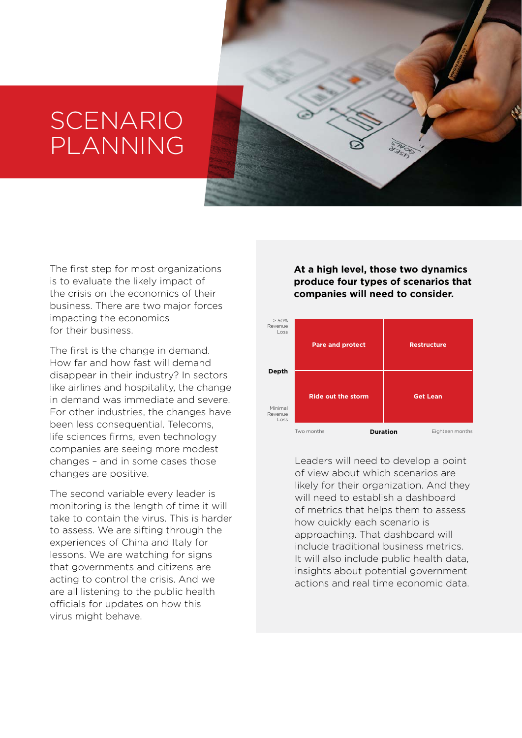# SCENARIO PLANNING



The first step for most organizations is to evaluate the likely impact of the crisis on the economics of their business. There are two major forces impacting the economics for their business.

The first is the change in demand. How far and how fast will demand disappear in their industry? In sectors like airlines and hospitality, the change in demand was immediate and severe. For other industries, the changes have been less consequential. Telecoms, life sciences firms, even technology companies are seeing more modest changes – and in some cases those changes are positive.

The second variable every leader is monitoring is the length of time it will take to contain the virus. This is harder to assess. We are sifting through the experiences of China and Italy for lessons. We are watching for signs that governments and citizens are acting to control the crisis. And we are all listening to the public health officials for updates on how this virus might behave.

**At a high level, those two dynamics produce four types of scenarios that companies will need to consider.**



Leaders will need to develop a point of view about which scenarios are likely for their organization. And they will need to establish a dashboard of metrics that helps them to assess how quickly each scenario is approaching. That dashboard will include traditional business metrics. It will also include public health data, insights about potential government actions and real time economic data.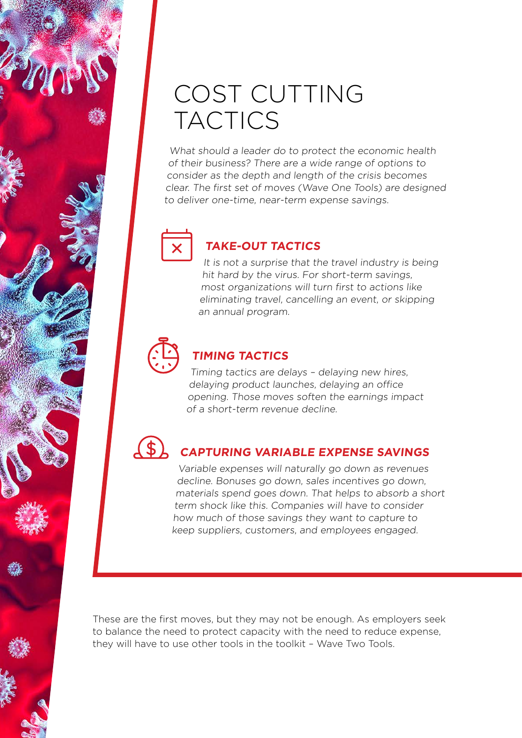## COST CUTTING **TACTICS**

What should a leader do to protect the economic health of their business? There are a wide range of options to consider as the depth and length of the crisis becomes clear. The first set of moves (Wave One Tools) are designed to deliver one-time, near-term expense savings.



#### **TAKE-OUT TACTICS**

It is not a surprise that the travel industry is being hit hard by the virus. For short-term savings, most organizations will turn first to actions like eliminating travel, cancelling an event, or skipping an annual program.



#### **TIMING TACTICS**

Timing tactics are delays – delaying new hires, delaying product launches, delaying an office opening. Those moves soften the earnings impact of a short-term revenue decline.



### **CAPTURING VARIABLE EXPENSE SAVINGS**

Variable expenses will naturally go down as revenues decline. Bonuses go down, sales incentives go down, materials spend goes down. That helps to absorb a short term shock like this. Companies will have to consider how much of those savings they want to capture to keep suppliers, customers, and employees engaged.

These are the first moves, but they may not be enough. As employers seek to balance the need to protect capacity with the need to reduce expense, they will have to use other tools in the toolkit – Wave Two Tools.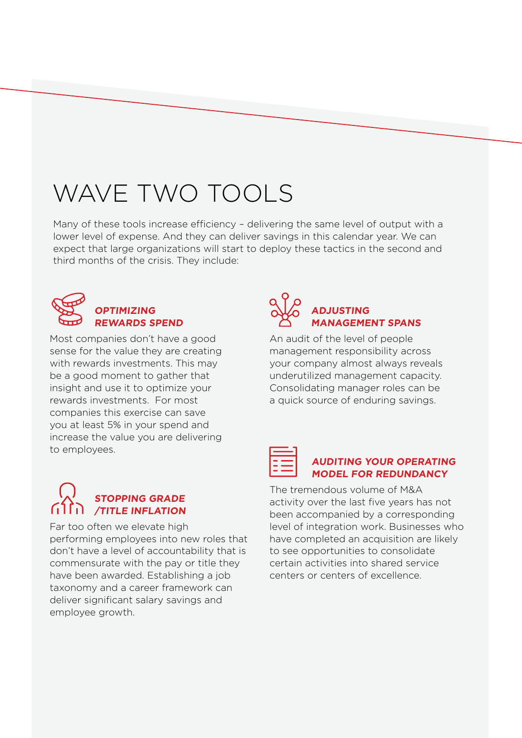# WAVE TWO TOOLS

Many of these tools increase efficiency – delivering the same level of output with a lower level of expense. And they can deliver savings in this calendar year. We can expect that large organizations will start to deploy these tactics in the second and third months of the crisis. They include:



#### **OPTIMIZING REWARDS SPEND**

Most companies don't have a good sense for the value they are creating with rewards investments. This may be a good moment to gather that insight and use it to optimize your rewards investments. For most companies this exercise can save you at least 5% in your spend and increase the value you are delivering to employees.



Far too often we elevate high performing employees into new roles that don't have a level of accountability that is commensurate with the pay or title they have been awarded. Establishing a job taxonomy and a career framework can deliver significant salary savings and employee growth.

### **ADJUSTING MANAGEMENT SPANS**

An audit of the level of people management responsibility across your company almost always reveals underutilized management capacity. Consolidating manager roles can be a quick source of enduring savings.



#### **AUDITING YOUR OPERATING MODEL FOR REDUNDANCY**

The tremendous volume of M&A activity over the last five years has not been accompanied by a corresponding level of integration work. Businesses who have completed an acquisition are likely to see opportunities to consolidate certain activities into shared service centers or centers of excellence.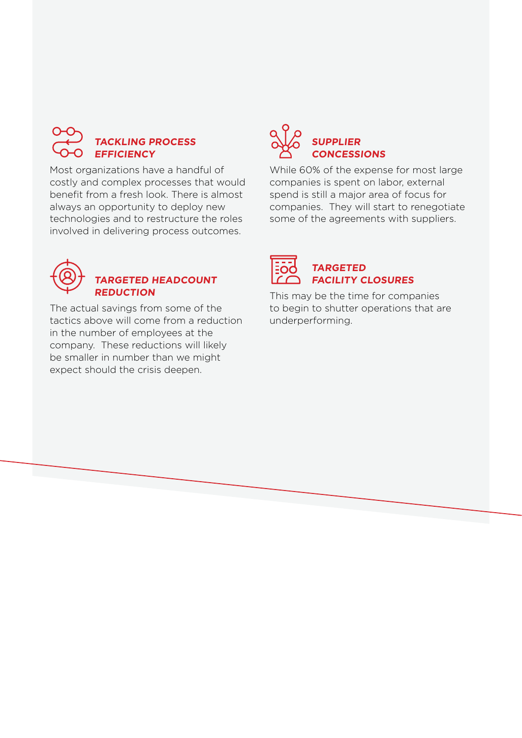

Most organizations have a handful of costly and complex processes that would benefit from a fresh look. There is almost always an opportunity to deploy new technologies and to restructure the roles involved in delivering process outcomes.



#### **TARGETED HEADCOUNT REDUCTION**

The actual savings from some of the tactics above will come from a reduction in the number of employees at the company. These reductions will likely be smaller in number than we might expect should the crisis deepen.



While 60% of the expense for most large companies is spent on labor, external spend is still a major area of focus for companies. They will start to renegotiate some of the agreements with suppliers.

### **TARGETED FACILITY CLOSURES**

This may be the time for companies to begin to shutter operations that are underperforming.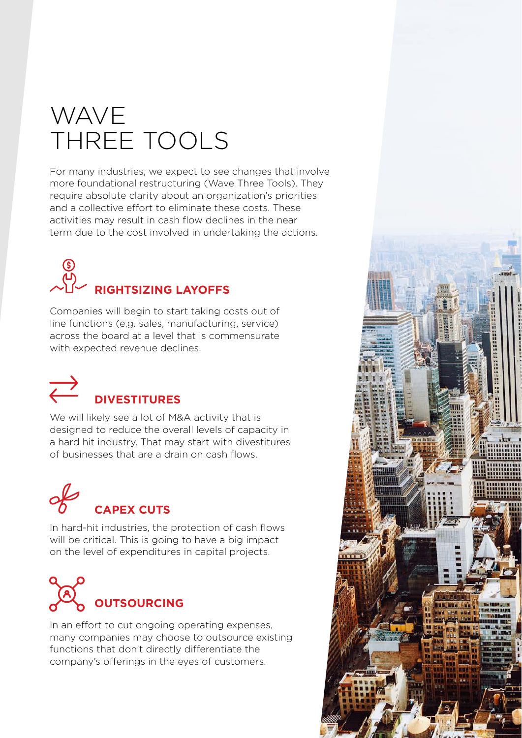# WAVE THREE TOOLS

For many industries, we expect to see changes that involve more foundational restructuring (Wave Three Tools). They require absolute clarity about an organization's priorities and a collective effort to eliminate these costs. These activities may result in cash flow declines in the near term due to the cost involved in undertaking the actions.



Companies will begin to start taking costs out of line functions (e.g. sales, manufacturing, service) across the board at a level that is commensurate with expected revenue declines.



### **DIVESTITURES**

We will likely see a lot of M&A activity that is designed to reduce the overall levels of capacity in a hard hit industry. That may start with divestitures of businesses that are a drain on cash flows.



In hard-hit industries, the protection of cash flows will be critical. This is going to have a big impact on the level of expenditures in capital projects.



In an effort to cut ongoing operating expenses, many companies may choose to outsource existing functions that don't directly differentiate the company's offerings in the eyes of customers.

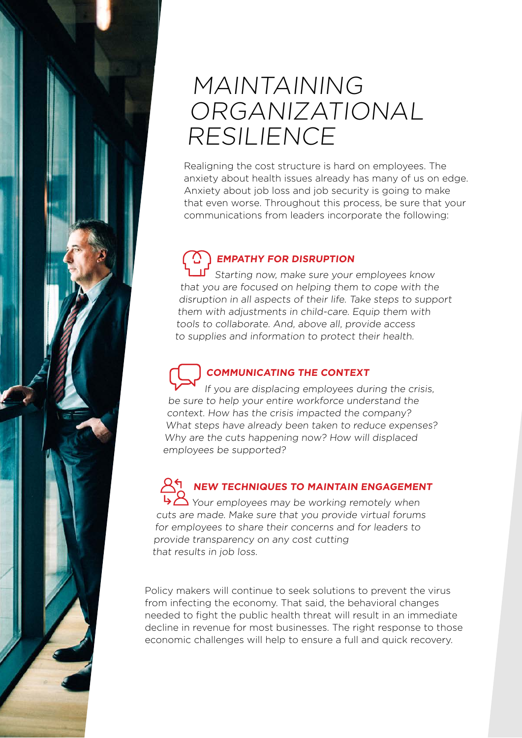# MAINTAINING ORGANIZATIONAL RESILIENCE

Realigning the cost structure is hard on employees. The anxiety about health issues already has many of us on edge. Anxiety about job loss and job security is going to make that even worse. Throughout this process, be sure that your communications from leaders incorporate the following:

### **EMPATHY FOR DISRUPTION**

Starting now, make sure your employees know that you are focused on helping them to cope with the disruption in all aspects of their life. Take steps to support them with adjustments in child-care. Equip them with tools to collaborate. And, above all, provide access to supplies and information to protect their health.

#### **COMMUNICATING THE CONTEXT**

If you are displacing employees during the crisis, be sure to help your entire workforce understand the context. How has the crisis impacted the company? What steps have already been taken to reduce expenses? Why are the cuts happening now? How will displaced employees be supported?

### **NEW TECHNIQUES TO MAINTAIN ENGAGEMENT**

Your employees may be working remotely when cuts are made. Make sure that you provide virtual forums for employees to share their concerns and for leaders to provide transparency on any cost cutting that results in job loss.

Policy makers will continue to seek solutions to prevent the virus from infecting the economy. That said, the behavioral changes needed to fight the public health threat will result in an immediate decline in revenue for most businesses. The right response to those economic challenges will help to ensure a full and quick recovery.